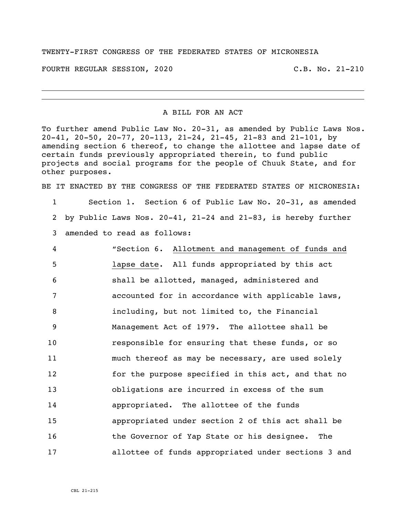## TWENTY-FIRST CONGRESS OF THE FEDERATED STATES OF MICRONESIA

FOURTH REGULAR SESSION, 2020 C.B. No. 21-210

## A BILL FOR AN ACT

To further amend Public Law No. 20-31, as amended by Public Laws Nos. 20-41, 20-50, 20-77, 20-113, 21-24, 21-45, 21-83 and 21-101, by amending section 6 thereof, to change the allottee and lapse date of certain funds previously appropriated therein, to fund public projects and social programs for the people of Chuuk State, and for other purposes.

BE IT ENACTED BY THE CONGRESS OF THE FEDERATED STATES OF MICRONESIA:

 Section 1. Section 6 of Public Law No. 20-31, as amended by Public Laws Nos. 20-41, 21-24 and 21-83, is hereby further amended to read as follows:

| $\overline{4}$ | "Section 6. Allotment and management of funds and   |
|----------------|-----------------------------------------------------|
| 5              | lapse date. All funds appropriated by this act      |
| 6              | shall be allotted, managed, administered and        |
| 7              | accounted for in accordance with applicable laws,   |
| 8              | including, but not limited to, the Financial        |
| 9              | Management Act of 1979. The allottee shall be       |
| 10             | responsible for ensuring that these funds, or so    |
| 11             | much thereof as may be necessary, are used solely   |
| 12             | for the purpose specified in this act, and that no  |
| 13             | obligations are incurred in excess of the sum       |
| 14             | appropriated. The allottee of the funds             |
| 15             | appropriated under section 2 of this act shall be   |
| 16             | the Governor of Yap State or his designee. The      |
| 17             | allottee of funds appropriated under sections 3 and |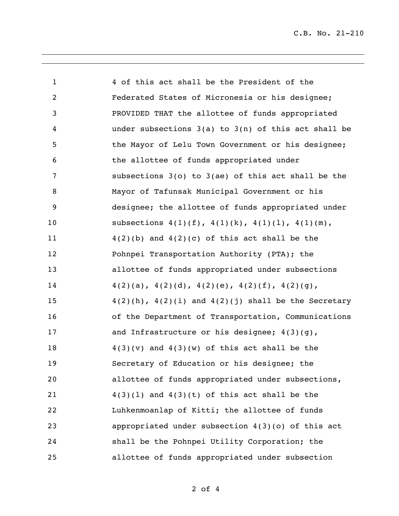| $\mathbf{1}$   | 4 of this act shall be the President of the                 |
|----------------|-------------------------------------------------------------|
| $\overline{2}$ | Federated States of Micronesia or his designee;             |
| 3              | PROVIDED THAT the allottee of funds appropriated            |
| 4              | under subsections $3(a)$ to $3(n)$ of this act shall be     |
| 5              | the Mayor of Lelu Town Government or his designee;          |
| 6              | the allottee of funds appropriated under                    |
| 7              | subsections $3(0)$ to $3(ae)$ of this act shall be the      |
| 8              | Mayor of Tafunsak Municipal Government or his               |
| 9              | designee; the allottee of funds appropriated under          |
| 10             | subsections $4(1)(f)$ , $4(1)(k)$ , $4(1)(1)$ , $4(1)(m)$ , |
| 11             | $4(2)(b)$ and $4(2)(c)$ of this act shall be the            |
| 12             | Pohnpei Transportation Authority (PTA); the                 |
| 13             | allottee of funds appropriated under subsections            |
| 14             | $4(2)(a)$ , $4(2)(d)$ , $4(2)(e)$ , $4(2)(f)$ , $4(2)(g)$ , |
| 15             | $4(2)(h)$ , $4(2)(i)$ and $4(2)(j)$ shall be the Secretary  |
| 16             | of the Department of Transportation, Communications         |
| 17             | and Infrastructure or his designee; $4(3)(q)$ ,             |
| 18             | $4(3)(v)$ and $4(3)(w)$ of this act shall be the            |
| 19             | Secretary of Education or his designee; the                 |
| 20             | allottee of funds appropriated under subsections,           |
| 21             | $4(3)(1)$ and $4(3)(t)$ of this act shall be the            |
| 22             | Luhkenmoanlap of Kitti; the allottee of funds               |
| 23             | appropriated under subsection $4(3)(o)$ of this act         |
| 24             | shall be the Pohnpei Utility Corporation; the               |
| 25             | allottee of funds appropriated under subsection             |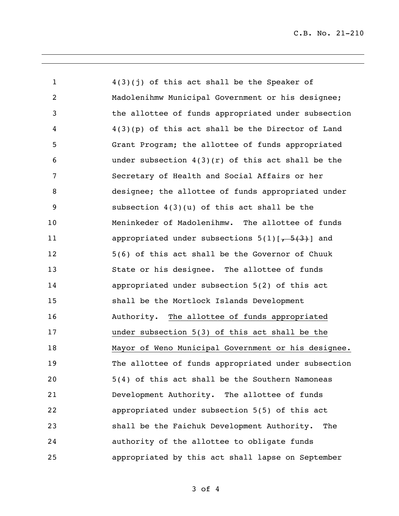| 1  | $4(3)(j)$ of this act shall be the Speaker of       |
|----|-----------------------------------------------------|
| 2  | Madolenihmw Municipal Government or his designee;   |
| 3  | the allottee of funds appropriated under subsection |
| 4  | $4(3)(p)$ of this act shall be the Director of Land |
| 5  | Grant Program; the allottee of funds appropriated   |
| 6  | under subsection $4(3)(r)$ of this act shall be the |
| 7  | Secretary of Health and Social Affairs or her       |
| 8  | designee; the allottee of funds appropriated under  |
| 9  | subsection $4(3)(u)$ of this act shall be the       |
| 10 | Meninkeder of Madolenihmw. The allottee of funds    |
| 11 | appropriated under subsections $5(1)[-5(3)]$ and    |
| 12 | 5(6) of this act shall be the Governor of Chuuk     |
| 13 | State or his designee. The allottee of funds        |
| 14 | appropriated under subsection 5(2) of this act      |
| 15 | shall be the Mortlock Islands Development           |
| 16 | Authority. The allottee of funds appropriated       |
| 17 | under subsection 5(3) of this act shall be the      |
| 18 | Mayor of Weno Municipal Government or his designee. |
| 19 | The allottee of funds appropriated under subsection |
| 20 | 5(4) of this act shall be the Southern Namoneas     |
| 21 | Development Authority. The allottee of funds        |
| 22 | appropriated under subsection 5(5) of this act      |
| 23 | shall be the Faichuk Development Authority.<br>The  |
| 24 | authority of the allottee to obligate funds         |
| 25 | appropriated by this act shall lapse on September   |